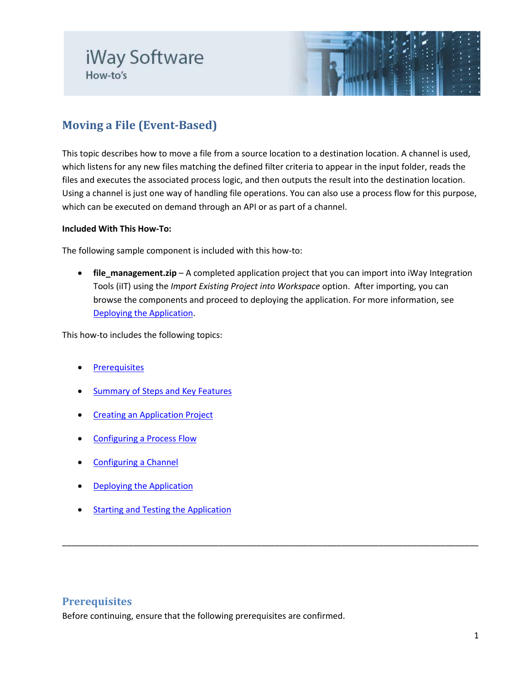

# **Moving a File (Event-Based)**

This topic describes how to move a file from a source location to a destination location. A channel is used, which listens for any new files matching the defined filter criteria to appear in the input folder, reads the files and executes the associated process logic, and then outputs the result into the destination location. Using a channel is just one way of handling file operations. You can also use a process flow for this purpose, which can be executed on demand through an API or as part of a channel.

#### **Included With This How-To:**

The following sample component is included with this how-to:

• **file\_management.zip** – A completed application project that you can import into iWay Integration Tools (iIT) using the *Import Existing Project into Workspace* option. After importing, you can browse the components and proceed to deploying the application. For more information, see [Deploying the Application.](#page-8-0)

<span id="page-0-0"></span>\_\_\_\_\_\_\_\_\_\_\_\_\_\_\_\_\_\_\_\_\_\_\_\_\_\_\_\_\_\_\_\_\_\_\_\_\_\_\_\_\_\_\_\_\_\_\_\_\_\_\_\_\_\_\_\_\_\_\_\_\_\_\_\_\_\_\_\_\_\_\_\_\_\_\_\_\_\_\_\_\_\_\_\_\_\_\_\_

This how-to includes the following topics:

- **[Prerequisites](#page-0-0)**
- [Summary of Steps and Key Features](#page-1-0)
- [Creating an Application Project](#page-1-1)
- [Configuring a Process Flow](#page-3-0)
- [Configuring a Channel](#page-4-0)
- **[Deploying the Application](#page-8-0)**
- [Starting and Testing the Application](#page-10-0)

### **Prerequisites**

Before continuing, ensure that the following prerequisites are confirmed.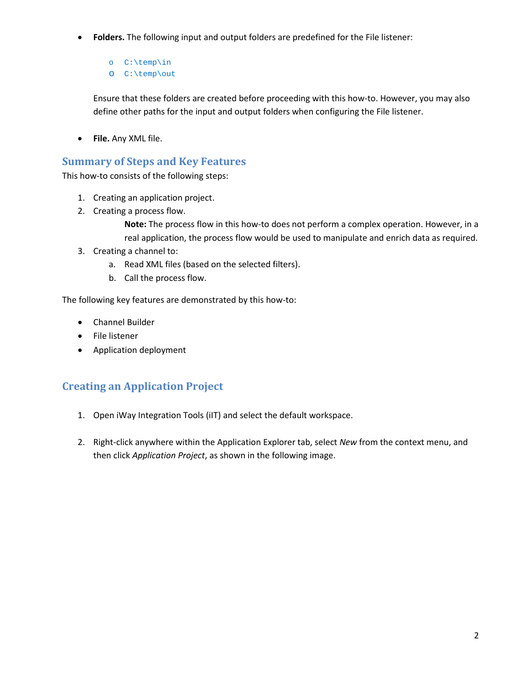- **Folders.** The following input and output folders are predefined for the File listener:
	- o C:\temp\in
	- o C:\temp\out

Ensure that these folders are created before proceeding with this how-to. However, you may also define other paths for the input and output folders when configuring the File listener.

• **File.** Any XML file.

## <span id="page-1-0"></span>**Summary of Steps and Key Features**

This how-to consists of the following steps:

- 1. Creating an application project.
- 2. Creating a process flow.

**Note:** The process flow in this how-to does not perform a complex operation. However, in a real application, the process flow would be used to manipulate and enrich data as required.

- 3. Creating a channel to:
	- a. Read XML files (based on the selected filters).
	- b. Call the process flow.

The following key features are demonstrated by this how-to:

- Channel Builder
- File listener
- Application deployment

## <span id="page-1-1"></span>**Creating an Application Project**

- 1. Open iWay Integration Tools (iIT) and select the default workspace.
- 2. Right-click anywhere within the Application Explorer tab, select *New* from the context menu, and then click *Application Project*, as shown in the following image.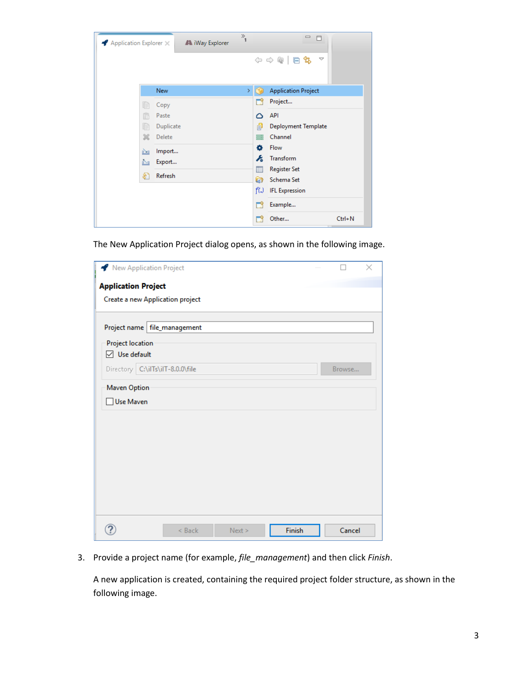| $\blacktriangle$ Application Explorer $\times$ | A iWay Explorer | $\frac{1}{2}$ | $\qquad \qquad \Box$<br>F       |
|------------------------------------------------|-----------------|---------------|---------------------------------|
|                                                |                 |               | ◆ → @ 日ち<br>$\overline{\smile}$ |
|                                                | New             | ×.            | <b>Application Project</b>      |
| h                                              | Copy            |               | Project<br>٣ì                   |
| r                                              | Paste           |               | API<br>Δ                        |
| Ie                                             | Duplicate       |               | 卣<br><b>Deployment Template</b> |
| Ж                                              | Delete          |               | Channel<br>≡                    |
| 函                                              | Import          |               | ۰<br><b>Flow</b>                |
| Ď.                                             | Export          |               | ۶à<br>Transform                 |
| s.                                             | Refresh         |               | <b>Register Set</b><br>E        |
|                                                |                 |               | Q<br>Schema Set                 |
|                                                |                 |               | fW<br><b>IFL Expression</b>     |
|                                                |                 |               | ٣ï<br>Example                   |
|                                                |                 |               | $Ctrl + N$<br>Other             |

The New Application Project dialog opens, as shown in the following image.

| New Application Project          |        |      |        |        | $\times$ |
|----------------------------------|--------|------|--------|--------|----------|
| <b>Application Project</b>       |        |      |        |        |          |
| Create a new Application project |        |      |        |        |          |
| Project name file_management     |        |      |        |        |          |
| <b>Project location</b>          |        |      |        |        |          |
| $\boxdot$ Use default            |        |      |        |        |          |
| Directory C:\ilTs\ilT-8.0.0\file |        |      |        | Browse |          |
| Maven Option                     |        |      |        |        |          |
| Use Maven                        |        |      |        |        |          |
|                                  |        |      |        |        |          |
|                                  |        |      |        |        |          |
|                                  |        |      |        |        |          |
|                                  |        |      |        |        |          |
|                                  |        |      |        |        |          |
|                                  |        |      |        |        |          |
|                                  |        |      |        |        |          |
|                                  |        |      |        |        |          |
|                                  | < Back | Next | Finish | Cancel |          |

3. Provide a project name (for example, *file\_management*) and then click *Finish*.

A new application is created, containing the required project folder structure, as shown in the following image.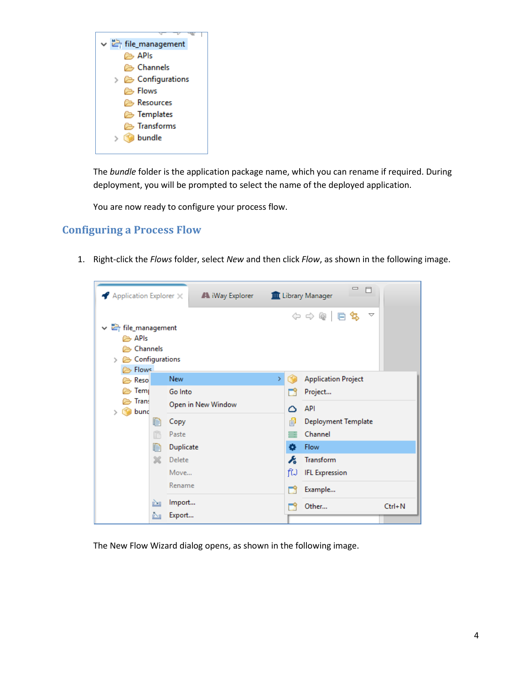

The *bundle* folder is the application package name, which you can rename if required. During deployment, you will be prompted to select the name of the deployed application.

You are now ready to configure your process flow.

### <span id="page-3-0"></span>**Configuring a Process Flow**

1. Right-click the *Flows* folder, select *New* and then click *Flow*, as shown in the following image.



The New Flow Wizard dialog opens, as shown in the following image.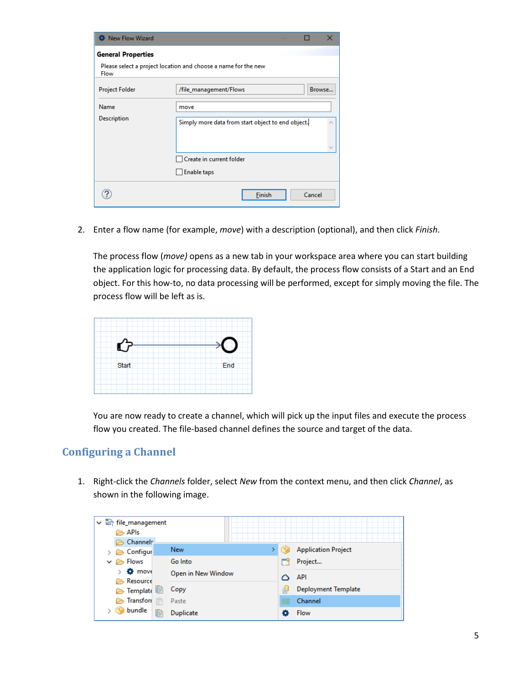| New Flow Wizard           | X                                                              |
|---------------------------|----------------------------------------------------------------|
| <b>General Properties</b> |                                                                |
| Flow                      | Please select a project location and choose a name for the new |
| <b>Project Folder</b>     | /file_management/Flows<br>Browse                               |
| Name                      | move                                                           |
| Description               | Simply more data from start object to end object.              |
|                           | Create in current folder                                       |
|                           | <b>Enable taps</b>                                             |
|                           | Cancel<br>Finish                                               |

2. Enter a flow name (for example, *move*) with a description (optional), and then click *Finish*.

The process flow (*move)* opens as a new tab in your workspace area where you can start building the application logic for processing data. By default, the process flow consists of a Start and an End object. For this how-to, no data processing will be performed, except for simply moving the file. The process flow will be left as is.

| Start | End |
|-------|-----|
|       |     |

You are now ready to create a channel, which will pick up the input files and execute the process flow you created. The file-based channel defines the source and target of the data.

## <span id="page-4-0"></span>**Configuring a Channel**

1. Right-click the *Channels* folder, select *New* from the context menu, and then click *Channel*, as shown in the following image.

| file_management             |                    |   |                            |
|-----------------------------|--------------------|---|----------------------------|
| <b>B</b> APIs               |                    |   |                            |
| Channels:                   |                    |   |                            |
| $\geq$ Configur             | <b>New</b>         |   | <b>Application Project</b> |
| $\vee \triangleright$ Flows | Go Into            |   | Project                    |
| <b>O</b> move               | Open in New Window |   | <b>API</b>                 |
| <b>Besource</b>             |                    |   |                            |
| C Template                  | Copy               | 卣 | <b>Deployment Template</b> |
| <b>Transfort</b><br>☞       | Paste              | ≡ | Channel                    |
| bundle                      | 自<br>Duplicate     |   | Flow                       |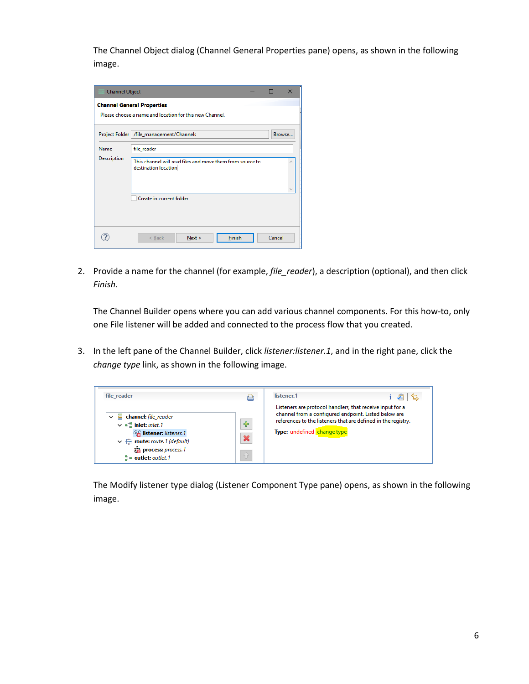The Channel Object dialog (Channel General Properties pane) opens, as shown in the following image.

| <b>Channel Object</b> |                                                                                   | $\times$ |
|-----------------------|-----------------------------------------------------------------------------------|----------|
|                       | <b>Channel General Properties</b>                                                 |          |
|                       | Please choose a name and location for this new Channel.                           |          |
|                       | Project Folder   /file_management/Channels                                        | Browse   |
| Name                  | file reader                                                                       |          |
| <b>Description</b>    | This channel will read files and move them from source to<br>destination location |          |
|                       | Create in current folder                                                          |          |
|                       | <b>Finish</b><br>$<$ Back<br>Next >                                               | Cancel   |

2. Provide a name for the channel (for example, *file reader*), a description (optional), and then click *Finish*.

The Channel Builder opens where you can add various channel components. For this how-to, only one File listener will be added and connected to the process flow that you created.

3. In the left pane of the Channel Builder, click *listener:listener.1*, and in the right pane, click the *change type* link, as shown in the following image.



The Modify listener type dialog (Listener Component Type pane) opens, as shown in the following image.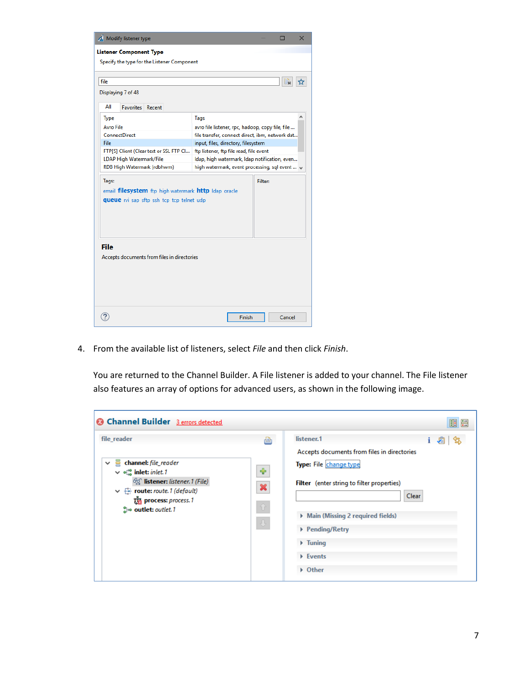

4. From the available list of listeners, select *File* and then click *Finish*.

You are returned to the Channel Builder. A File listener is added to your channel. The File listener also features an array of options for advanced users, as shown in the following image.

| <b>@ Channel Builder</b> 3 errors detected                                                                                                                                                                                               |                               | 田田                                                                                                                                                                                                                                                                                      |
|------------------------------------------------------------------------------------------------------------------------------------------------------------------------------------------------------------------------------------------|-------------------------------|-----------------------------------------------------------------------------------------------------------------------------------------------------------------------------------------------------------------------------------------------------------------------------------------|
| file_reader<br>channel: file_reader<br>$\checkmark$<br>$\vee$ $\in$ inlet: inlet. 1<br>beg listener: listener. 1 (File)<br>$\vee \quad \rightarrow$ route: route. 1 (default)<br><b>The process:</b> process. 1<br>SHe outlet: outlet. 1 | ð<br>⊕<br>×<br>-6<br>$\oplus$ | listener.1<br>虛<br>i √≊l<br>Accepts documents from files in directories<br>Type: File change type<br><b>Filter</b> (enter string to filter properties)<br>Clear<br>Main (Missing 2 required fields)<br>▶ Pending/Retry<br>$\triangleright$ Tuning<br>$\triangleright$ Events<br>▶ Other |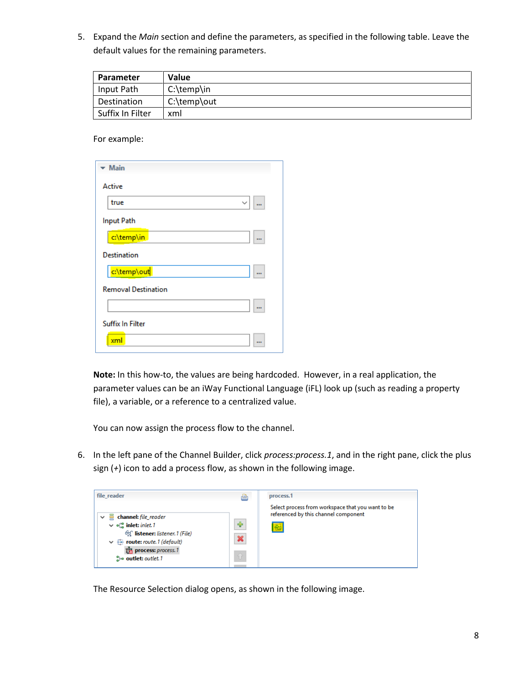5. Expand the *Main* section and define the parameters, as specified in the following table. Leave the default values for the remaining parameters.

| Parameter        | Value        |
|------------------|--------------|
| Input Path       | $C:\temp\in$ |
| Destination      | C:\temp\out  |
| Suffix In Filter | xml          |

For example:

| <b>Main</b>                |          |
|----------------------------|----------|
| Active                     |          |
| true<br>$\check{ }$        | $\cdots$ |
| <b>Input Path</b>          |          |
| c:\temp\in                 | $\cdots$ |
| <b>Destination</b>         |          |
| c:\temp\out                | $\cdots$ |
| <b>Removal Destination</b> |          |
|                            | $\cdots$ |
| <b>Suffix In Filter</b>    |          |
| xml                        | $\cdots$ |
|                            |          |

**Note:** In this how-to, the values are being hardcoded. However, in a real application, the parameter values can be an iWay Functional Language (iFL) look up (such as reading a property file), a variable, or a reference to a centralized value.

You can now assign the process flow to the channel.

6. In the left pane of the Channel Builder, click *process:process.1*, and in the right pane, click the plus sign (*+*) icon to add a process flow, as shown in the following image.



The Resource Selection dialog opens, as shown in the following image.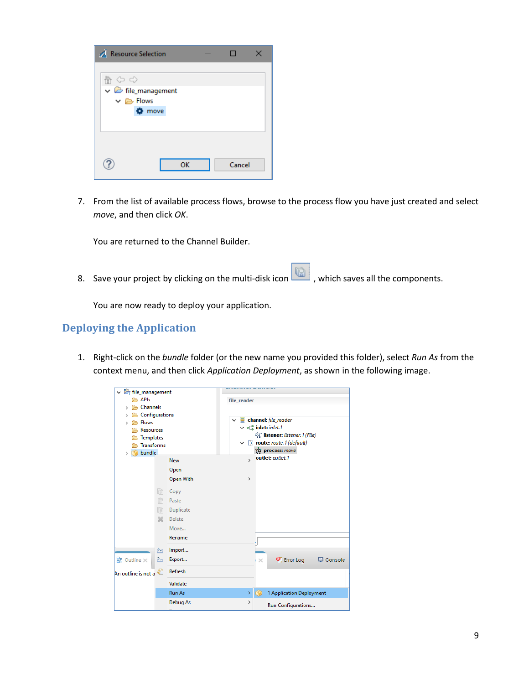| <b>Resource Selection</b>                                                       |               |    |        |  |
|---------------------------------------------------------------------------------|---------------|----|--------|--|
| 会 や ゆ<br>$\vee$ $\triangleright$ file_management<br>$\vee \triangleright$ Flows | <b>☆</b> move |    |        |  |
|                                                                                 |               | OK | Cancel |  |

7. From the list of available process flows, browse to the process flow you have just created and select *move*, and then click *OK*.

You are returned to the Channel Builder.

8. Save your project by clicking on the multi-disk icon  $\boxed{ \Box \ }$ , which saves all the components.

You are now ready to deploy your application.

### <span id="page-8-0"></span>**Deploying the Application**

1. Right-click on the *bundle* folder (or the new name you provided this folder), select *Run As* from the context menu, and then click *Application Deployment*, as shown in the following image.

| ↓ → file_management                 |               |               |          |                                                                       |           |
|-------------------------------------|---------------|---------------|----------|-----------------------------------------------------------------------|-----------|
| <b>B</b> APIs                       |               | file reader   |          |                                                                       |           |
| Channels                            |               |               |          |                                                                       |           |
| <b>B</b> Configurations             |               |               |          |                                                                       |           |
| <b>B</b> Flows                      |               |               |          | $\vee$ $\equiv$ channel: file_reader                                  |           |
| Resources                           |               |               |          | $\vee$ of inlet: inlet. 1                                             |           |
| <b>Templates</b><br>                |               |               |          | 60 listener: listener. 1 (File)                                       |           |
| <b>Transforms</b><br>☞              |               |               |          | $\vee$ $\stackrel{\frown}{\leftrightarrow}$ route: route. 1 (default) |           |
| bundle<br>>                         |               |               |          | ਲੂੰ process: move<br>outlet: outlet.1                                 |           |
|                                     | <b>New</b>    | $\mathbf{v}$  |          |                                                                       |           |
|                                     | Open          |               |          |                                                                       |           |
|                                     | Open With     | $\rightarrow$ |          |                                                                       |           |
| IB                                  | Copy          |               |          |                                                                       |           |
| r                                   | Paste         |               |          |                                                                       |           |
| IB                                  | Duplicate     |               |          |                                                                       |           |
| Ж                                   | Delete        |               |          |                                                                       |           |
|                                     | Move          |               |          |                                                                       |           |
|                                     | Rename        |               |          |                                                                       |           |
|                                     |               |               |          |                                                                       |           |
| 函                                   | Import        |               |          |                                                                       |           |
| $\mathbb{B}$ Outline $\times$<br>Ņ, | Export        |               | $\times$ | <b>O</b> Error Log                                                    | L Console |
| An outline is not a                 | Refresh       |               |          |                                                                       |           |
|                                     | Validate      |               |          |                                                                       |           |
|                                     | <b>Run As</b> | Y.            |          | 1 Application Deployment                                              |           |
|                                     | Debug As      | $\rightarrow$ |          | Run Configurations                                                    |           |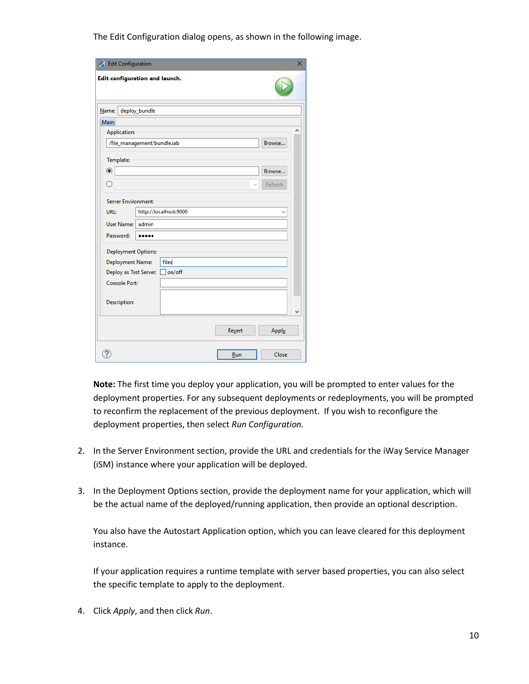The Edit Configuration dialog opens, as shown in the following image.

| Edit Configuration             |                             |       |               |         |
|--------------------------------|-----------------------------|-------|---------------|---------|
| Edit configuration and launch. |                             |       |               |         |
| Name:                          | deploy_bundle               |       |               |         |
| Main                           |                             |       |               |         |
| <b>Application:</b>            |                             |       |               |         |
|                                | /file_management/bundle.iab |       |               | Browse  |
| Template:                      |                             |       |               |         |
| $\circledcirc$                 |                             |       |               | Browse  |
| ∩                              |                             |       |               | Refresh |
| <b>Server Environment:</b>     |                             |       |               |         |
| URL:                           | http://localhost:9000       |       |               |         |
| User Name:                     | admin                       |       |               |         |
| Password:                      |                             |       |               |         |
| <b>Deployment Options:</b>     |                             |       |               |         |
| <b>Deployment Name:</b>        |                             | files |               |         |
| Deploy as Test Server: non/off |                             |       |               |         |
| <b>Console Port:</b>           |                             |       |               |         |
|                                |                             |       |               |         |
| <b>Description:</b>            |                             |       |               |         |
|                                |                             |       |               |         |
|                                |                             |       |               |         |
|                                |                             |       | <b>Revert</b> | Apply   |
|                                |                             |       |               |         |
|                                |                             |       | Run           | Close   |

**Note:** The first time you deploy your application, you will be prompted to enter values for the deployment properties. For any subsequent deployments or redeployments, you will be prompted to reconfirm the replacement of the previous deployment. If you wish to reconfigure the deployment properties, then select *Run Configuration.*

- 2. In the Server Environment section, provide the URL and credentials for the iWay Service Manager (iSM) instance where your application will be deployed.
- 3. In the Deployment Options section, provide the deployment name for your application, which will be the actual name of the deployed/running application, then provide an optional description.

You also have the Autostart Application option, which you can leave cleared for this deployment instance.

If your application requires a runtime template with server based properties, you can also select the specific template to apply to the deployment.

4. Click *Apply*, and then click *Run*.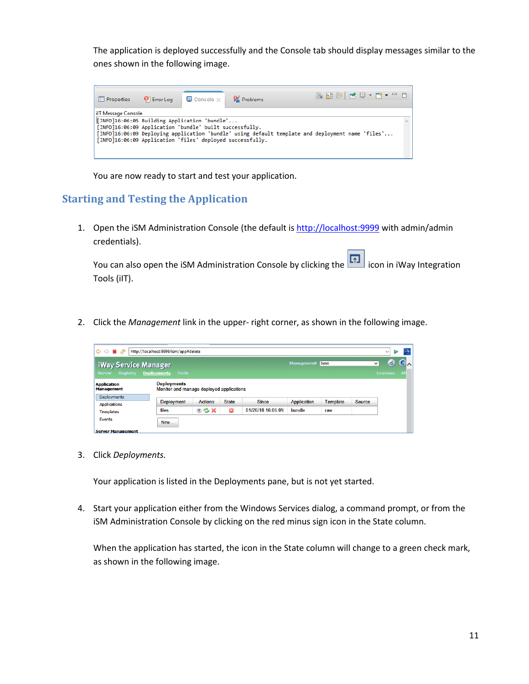The application is deployed successfully and the Console tab should display messages similar to the ones shown in the following image.



You are now ready to start and test your application.

## <span id="page-10-0"></span>**Starting and Testing the Application**

1. Open the iSM Administration Console (the default is [http://localhost:9999](http://localhost:9999/) with admin/admin credentials).

You can also open the iSM Administration Console by clicking the **induce** icon in iWay Integration Tools (iIT).

2. Click the *Management* link in the upper- right corner, as shown in the following image.

| $\Leftrightarrow$ $\blacksquare$ $\mathcal{S}$<br>http://localhost:9999/ism/app#delete<br>$\checkmark$    |                   |                |              |                   |                    |                 |               |                           |   |  |
|-----------------------------------------------------------------------------------------------------------|-------------------|----------------|--------------|-------------------|--------------------|-----------------|---------------|---------------------------|---|--|
| iWay Service Manager<br>Registry Deployments<br><b>Server</b>                                             | Tools             |                |              |                   | <b>Management</b>  | base            |               | ◙<br>◡<br><b>Licenses</b> | C |  |
| <b>Deployments</b><br><b>Application</b><br>Monitor and manage deployed applications<br><b>Management</b> |                   |                |              |                   |                    |                 |               |                           |   |  |
| <b>Deployments</b><br><b>Applications</b>                                                                 | <b>Deployment</b> | <b>Actions</b> | <b>State</b> | <b>Since</b>      | <b>Application</b> | <b>Template</b> | <b>Source</b> |                           |   |  |
| <b>Templates</b>                                                                                          | files             | $\circ$ 3 X    | ●            | 01/26/18 16:06:09 | bundle             | raw             |               |                           |   |  |
| <b>Events</b><br><b>Company Management</b>                                                                | <b>New</b>        |                |              |                   |                    |                 |               |                           |   |  |

3. Click *Deployments.*

Your application is listed in the Deployments pane, but is not yet started.

4. Start your application either from the Windows Services dialog, a command prompt, or from the iSM Administration Console by clicking on the red minus sign icon in the State column.

When the application has started, the icon in the State column will change to a green check mark, as shown in the following image.